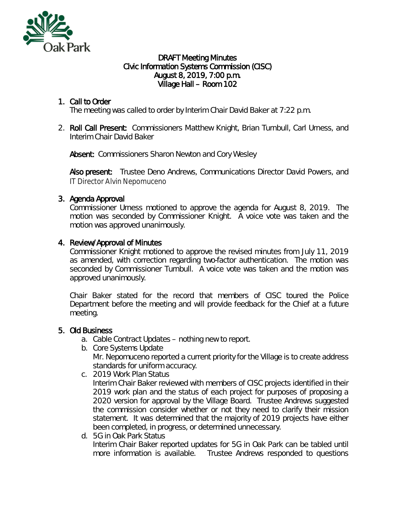

#### DRAFT Meeting Minutes Civic Information Systems Commission (CISC) August 8, 2019, 7:00 p.m. Village Hall – Room 102

# 1. Call to Order

The meeting was called to order by Interim Chair David Baker at 7:22 p.m.

2. Roll Call Present: Commissioners Matthew Knight, Brian Turnbull, Carl Urness, and Interim Chair David Baker

Absent: Commissioners Sharon Newton and Cory Wesley

Also present: Trustee Deno Andrews, Communications Director David Powers, and IT Director Alvin Nepomuceno

# 3. Agenda Approval

Commissioner Urness motioned to approve the agenda for August 8, 2019. The motion was seconded by Commissioner Knight. A voice vote was taken and the motion was approved unanimously.

### 4. Review/Approval of Minutes

Commissioner Knight motioned to approve the revised minutes from July 11, 2019 as amended, with correction regarding two-factor authentication. The motion was seconded by Commissioner Turnbull. A voice vote was taken and the motion was approved unanimously.

Chair Baker stated for the record that members of CISC toured the Police Department before the meeting and will provide feedback for the Chief at a future meeting.

#### 5. Old Business

- a. Cable Contract Updates nothing new to report.
- b. Core Systems Update

Mr. Nepomuceno reported a current priority for the Village is to create address standards for uniform accuracy.

- c. 2019 Work Plan Status Interim Chair Baker reviewed with members of CISC projects identified in their 2019 work plan and the status of each project for purposes of proposing a 2020 version for approval by the Village Board. Trustee Andrews suggested the commission consider whether or not they need to clarify their mission statement. It was determined that the majority of 2019 projects have either been completed, in progress, or determined unnecessary.
- d. 5G in Oak Park Status Interim Chair Baker reported updates for 5G in Oak Park can be tabled until more information is available. Trustee Andrews responded to questions